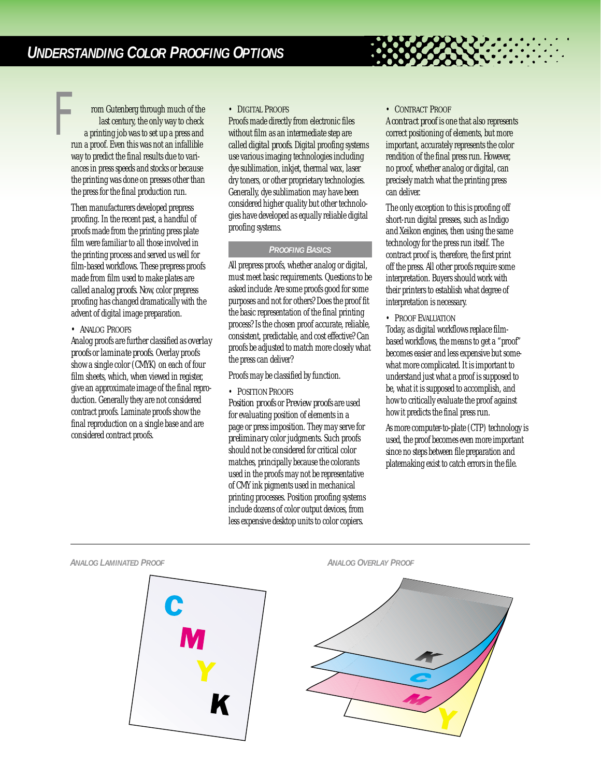rom Gutenberg through much of the last century, the only way to check a printing job was to set up a press and run a proof. Even this was not an infallible way to predict the final results due to variances in press speeds and stocks or because the printing was done on presses other than the press for the final production run. *F*

> Then manufacturers developed prepress proofing. In the recent past, a handful of proofs made from the printing press plate film were familiar to all those involved in the printing process and served us well for film-based workflows. These prepress proofs made from film used to make plates are called *analog proofs*. Now, color prepress proofing has changed dramatically with the advent of digital image preparation.

# • *ANALOG PROOFS*

Analog proofs are further classified as *overlay proofs*or *laminate proofs*. Overlay proofs show a single color (CMYK) on each of four film sheets, which, when viewed in register, give an approximate image of the final reproduction. Generally they are not considered contract proofs. Laminate proofs show the final reproduction on a single base and are considered contract proofs.

### • *DIGITAL PROOFS*

Proofs made directly from electronic files without film as an intermediate step are called *digital proofs*. Digital proofing systems use various imaging technologies including dye sublimation, inkjet, thermal wax, laser dry toners, or other proprietary technologies. Generally, dye sublimation may have been considered higher quality but other technologies have developed as equally reliable digital proofing systems.

# *PROOFING BASICS*

All prepress proofs, whether analog or digital, must meet basic requirements. Questions to be asked include: Are some proofs good for some purposes and not for others? Does the proof fit the basic representation of the final printing process? Is the chosen proof accurate, reliable, consistent, predictable, and cost effective? Can proofs be adjusted to match more closely what the press can deliver?

Proofs may be classified by function.

### • *POSITION PROOFS*

*Position proofs*or *Preview proofs*are used for evaluating position of elements in a page or press imposition. They may serve for *preliminary*color judgments. Such proofs should not be considered for critical color matches, principally because the colorants used in the proofs may not be representative of CMY ink pigments used in mechanical printing processes. Position proofing systems include dozens of color output devices, from less expensive desktop units to color copiers.

### • *CONTRACT PROOF*

A *contract proof* is one that also represents correct positioning of elements, but more important, accurately represents the color rendition of the final press run. However, no proof, whether analog or digital, can precisely match what the printing press can deliver.

The only exception to this is proofing off short-run digital presses, such as Indigo and Xeikon engines, then using the same technology for the press run itself. The contract proof is, therefore, the first print off the press. All other proofs require some interpretation. Buyers should work with their printers to establish what degree of interpretation is necessary.

## • *PROOF EVALUATION*

Today, as digital workflows replace filmbased workflows, the means to get a "proof" becomes easier and less expensive but somewhat more complicated. It is important to understand just what a proof is supposed to be, what it is supposed to accomplish, and how to critically evaluate the proof against how it predicts the final press run.

As more computer-to-plate (CTP) technology is used, the proof becomes even more important since no steps between file preparation and platemaking exist to catch errors in the file.



### *ANALOG LAMINATED PROOF ANALOG OVERLAY PROOF*